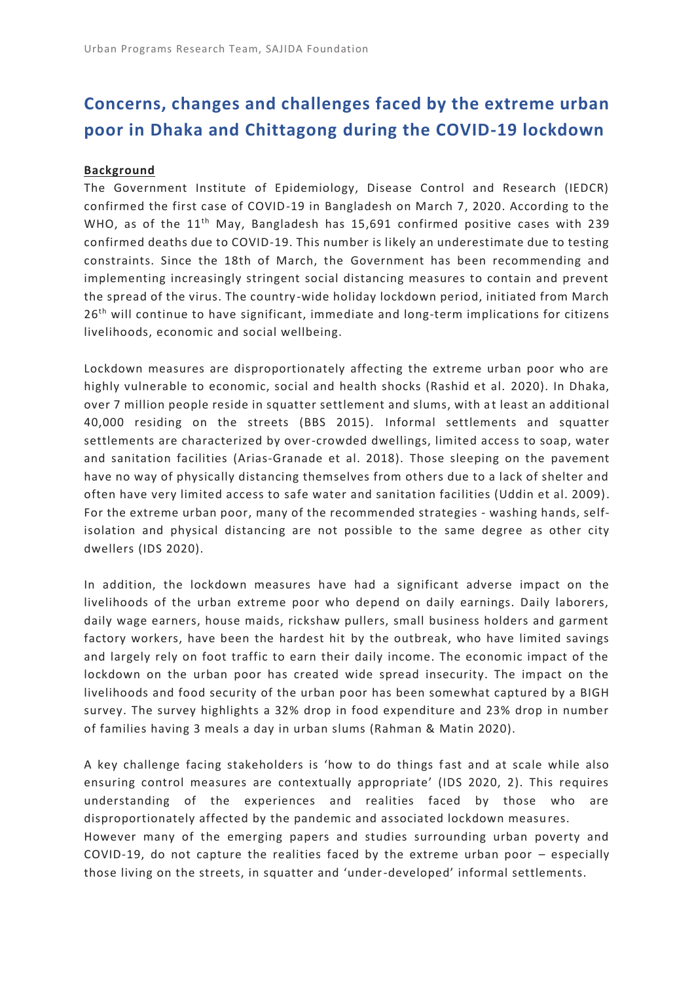# **Concerns, changes and challenges faced by the extreme urban poor in Dhaka and Chittagong during the COVID-19 lockdown**

## **Background**

The Government Institute of Epidemiology, Disease Control and Research (IEDCR) confirmed the first case of COVID-19 in Bangladesh on March 7, 2020. According to the WHO, as of the 11<sup>th</sup> May, Bangladesh has 15,691 confirmed positive cases with 239 confirmed deaths due to COVID-19. This number is likely an underestimate due to testing constraints. Since the 18th of March, the Government has been recommending and implementing increasingly stringent social distancing measures to contain and prevent the spread of the virus. The country-wide holiday lockdown period, initiated from March  $26<sup>th</sup>$  will continue to have significant, immediate and long-term implications for citizens livelihoods, economic and social wellbeing.

Lockdown measures are disproportionately affecting the extreme urban poor who are highly vulnerable to economic, social and health shocks (Rashid et al. 2020). In Dhaka, over 7 million people reside in squatter settlement and slums, with at least an additional 40,000 residing on the streets (BBS 2015). Informal settlements and squatter settlements are characterized by over-crowded dwellings, limited access to soap, water and sanitation facilities (Arias-Granade et al. 2018). Those sleeping on the pavement have no way of physically distancing themselves from others due to a lack of shelter and often have very limited access to safe water and sanitation facilities (Uddin et al. 2009). For the extreme urban poor, many of the recommended strategies - washing hands, selfisolation and physical distancing are not possible to the same degree as other city dwellers (IDS 2020).

In addition, the lockdown measures have had a significant adverse impact on the livelihoods of the urban extreme poor who depend on daily earnings. Daily laborers, daily wage earners, house maids, rickshaw pullers, small business holders and garment factory workers, have been the hardest hit by the outbreak, who have limited savings and largely rely on foot traffic to earn their daily income. The economic impact of the lockdown on the urban poor has created wide spread insecurity. The impact on the livelihoods and food security of the urban poor has been somewhat captured by a BIGH survey. The survey highlights a 32% drop in food expenditure and 23% drop in number of families having 3 meals a day in urban slums (Rahman & Matin 2020).

A key challenge facing stakeholders is 'how to do things fast and at scale while also ensuring control measures are contextually appropriate' (IDS 2020, 2). This requires understanding of the experiences and realities faced by those who are disproportionately affected by the pandemic and associated lockdown measu res. However many of the emerging papers and studies surrounding urban poverty and COVID-19, do not capture the realities faced by the extreme urban poor – especially those living on the streets, in squatter and 'under-developed' informal settlements.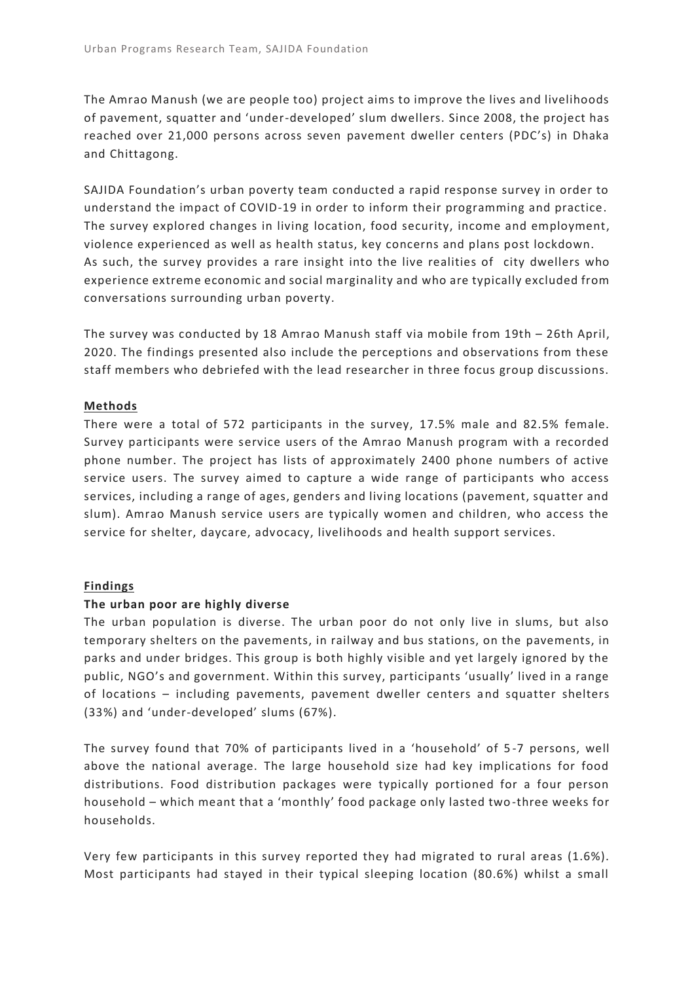The Amrao Manush (we are people too) project aims to improve the lives and livelihoods of pavement, squatter and 'under-developed' slum dwellers. Since 2008, the project has reached over 21,000 persons across seven pavement dweller centers (PDC's) in Dhaka and Chittagong.

SAJIDA Foundation's urban poverty team conducted a rapid response survey in order to understand the impact of COVID-19 in order to inform their programming and practice. The survey explored changes in living location, food security, income and employment, violence experienced as well as health status, key concerns and plans post lockdown. As such, the survey provides a rare insight into the live realities of city dwellers who experience extreme economic and social marginality and who are typically excluded from conversations surrounding urban poverty.

The survey was conducted by 18 Amrao Manush staff via mobile from 19th – 26th April, 2020. The findings presented also include the perceptions and observations from these staff members who debriefed with the lead researcher in three focus group discussions.

#### **Methods**

There were a total of 572 participants in the survey, 17.5% male and 82.5% female. Survey participants were service users of the Amrao Manush program with a recorded phone number. The project has lists of approximately 2400 phone numbers of active service users. The survey aimed to capture a wide range of participants who access services, including a range of ages, genders and living locations (pavement, squatter and slum). Amrao Manush service users are typically women and children, who access the service for shelter, daycare, advocacy, livelihoods and health support services.

#### **Findings**

#### **The urban poor are highly diverse**

The urban population is diverse. The urban poor do not only live in slums, but also temporary shelters on the pavements, in railway and bus stations, on the pavements, in parks and under bridges. This group is both highly visible and yet largely ignored by the public, NGO's and government. Within this survey, participants 'usually' lived in a range of locations – including pavements, pavement dweller centers and squatter shelters (33%) and 'under-developed' slums (67%).

The survey found that 70% of participants lived in a 'household' of 5 -7 persons, well above the national average. The large household size had key implications for food distributions. Food distribution packages were typically portioned for a four person household – which meant that a 'monthly' food package only lasted two -three weeks for households.

Very few participants in this survey reported they had migrated to rural areas (1.6%). Most participants had stayed in their typical sleeping location (80.6%) whilst a small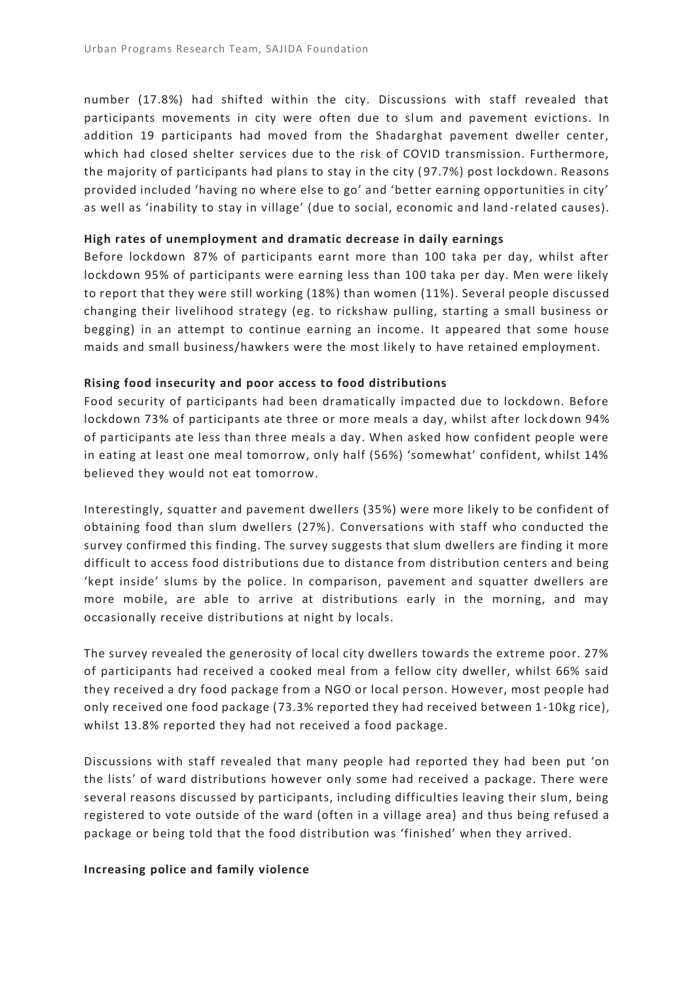number (17.8%) had shifted within the city. Discussions with staff revealed that participants movements in city were often due to slum and pavement evictions. In addition 19 participants had moved from the Shadarghat pavement dweller center, which had closed shelter services due to the risk of COVID transmission. Furthermore, the majority of participants had plans to stay in the city ( 97.7%) post lockdown. Reasons provided included 'having no where else to go' and 'better earning opportunities in city' as well as 'inability to stay in village' (due to social, economic and land -related causes).

## **High rates of unemployment and dramatic decrease in daily earnings**

Before lockdown 87% of participants earnt more than 100 taka per day, whilst after lockdown 95% of participants were earning less than 100 taka per day. Men were likely to report that they were still working (18%) than women (11%). Several people discussed changing their livelihood strategy (eg. to rickshaw pulling, starting a small business or begging) in an attempt to continue earning an income. It appeared that some house maids and small business/hawkers were the most likely to have retained employment.

## **Rising food insecurity and poor access to food distributions**

Food security of participants had been dramatically impacted due to lockdown. Before lockdown 73% of participants ate three or more meals a day, whilst after lock down 94% of participants ate less than three meals a day. When asked how confident people were in eating at least one meal tomorrow, only half (56%) 'somewhat' confident, whilst 14% believed they would not eat tomorrow.

Interestingly, squatter and pavement dwellers (35%) were more likely to be confident of obtaining food than slum dwellers (27%). Conversations with staff who conducted the survey confirmed this finding. The survey suggests that slum dwellers are finding it more difficult to access food distributions due to distance from distribution centers and being 'kept inside' slums by the police. In comparison, pavement and squatter dwellers are more mobile, are able to arrive at distributions early in the morning, and may occasionally receive distributions at night by locals.

The survey revealed the generosity of local city dwellers towards the extreme poor. 27% of participants had received a cooked meal from a fellow city dweller, whilst 66% said they received a dry food package from a NGO or local person. However, most people had only received one food package (73.3% reported they had received between 1-10kg rice), whilst 13.8% reported they had not received a food package.

Discussions with staff revealed that many people had reported they had been put 'on the lists' of ward distributions however only some had received a package. There were several reasons discussed by participants, including difficulties leaving their slum, being registered to vote outside of the ward (often in a village area) and thus being refused a package or being told that the food distribution was 'finished' when they arrived.

#### **Increasing police and family violence**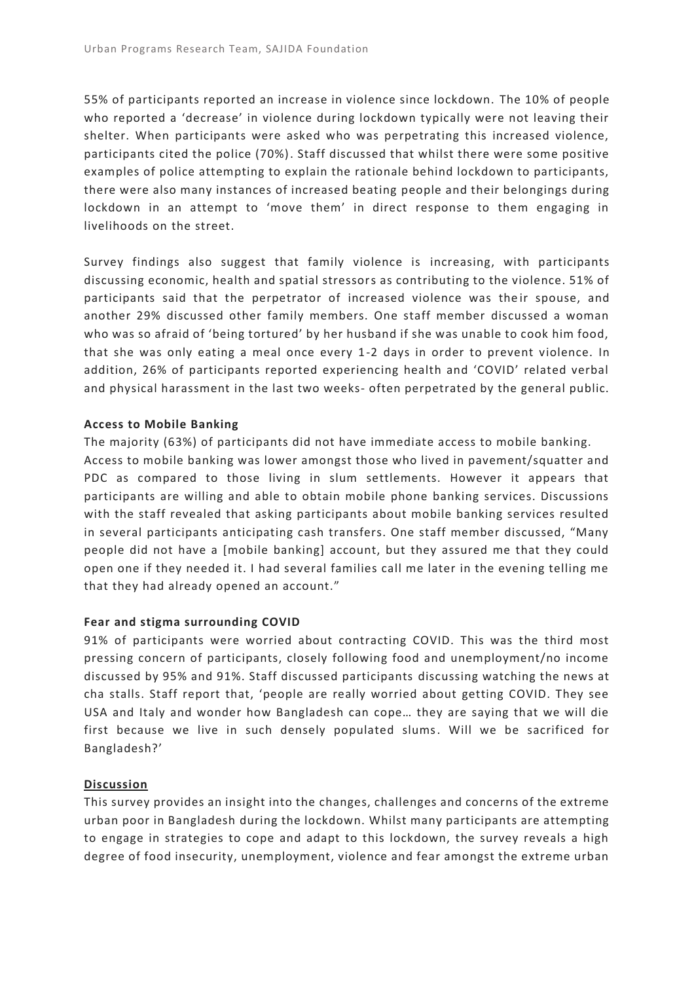55% of participants reported an increase in violence since lockdown. The 10% of people who reported a 'decrease' in violence during lockdown typically were not leaving their shelter. When participants were asked who was perpetrating this increased violence, participants cited the police (70%). Staff discussed that whilst there were some positive examples of police attempting to explain the rationale behind lockdown to participants, there were also many instances of increased beating people and their belongings during lockdown in an attempt to 'move them' in direct response to them engaging in livelihoods on the street.

Survey findings also suggest that family violence is increasing, with participants discussing economic, health and spatial stressors as contributing to the violence. 51% of participants said that the perpetrator of increased violence was their spouse, and another 29% discussed other family members. One staff member discussed a woman who was so afraid of 'being tortured' by her husband if she was unable to cook him food, that she was only eating a meal once every 1-2 days in order to prevent violence. In addition, 26% of participants reported experiencing health and 'COVID' related verbal and physical harassment in the last two weeks- often perpetrated by the general public.

## **Access to Mobile Banking**

The majority (63%) of participants did not have immediate access to mobile banking. Access to mobile banking was lower amongst those who lived in pavement/squatter and PDC as compared to those living in slum settlements. However it appears that participants are willing and able to obtain mobile phone banking services. Discussions with the staff revealed that asking participants about mobile banking services resulted in several participants anticipating cash transfers. One staff member discussed, "Many people did not have a [mobile banking] account, but they assured me that they could open one if they needed it. I had several families call me later in the evening telling me that they had already opened an account."

#### **Fear and stigma surrounding COVID**

91% of participants were worried about contracting COVID. This was the third most pressing concern of participants, closely following food and unemployment/no income discussed by 95% and 91%. Staff discussed participants discussing watching the news at cha stalls. Staff report that, 'people are really worried about getting COVID. They see USA and Italy and wonder how Bangladesh can cope… they are saying that we will die first because we live in such densely populated slums. Will we be sacrificed for Bangladesh?'

#### **Discussion**

This survey provides an insight into the changes, challenges and concerns of the extreme urban poor in Bangladesh during the lockdown. Whilst many participants are attempting to engage in strategies to cope and adapt to this lockdown, the survey reveals a high degree of food insecurity, unemployment, violence and fear amongst the extreme urban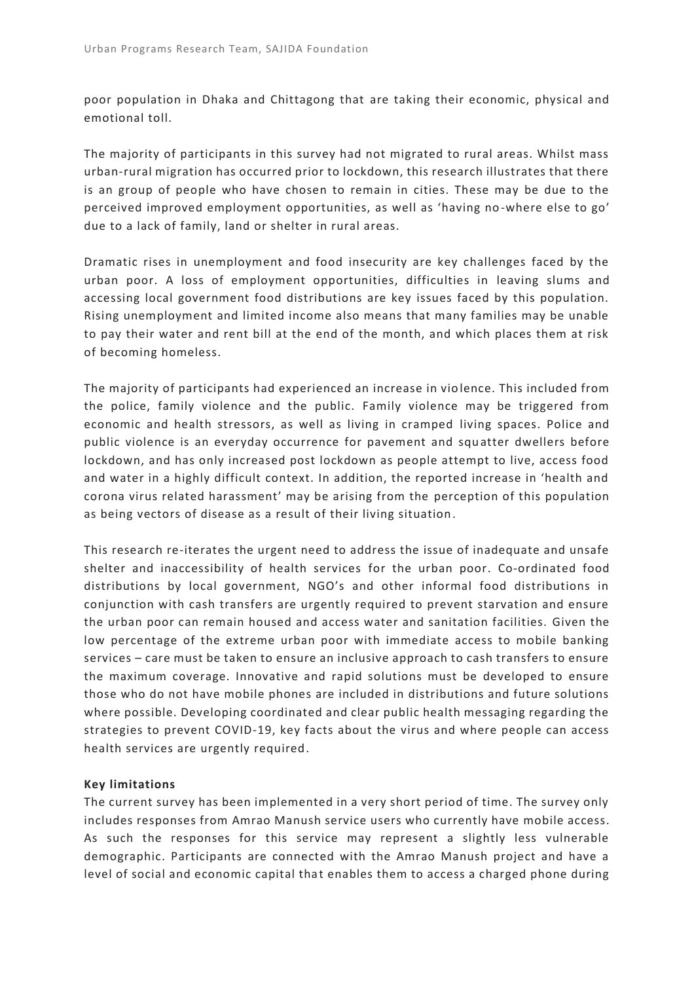poor population in Dhaka and Chittagong that are taking their economic, physical and emotional toll.

The majority of participants in this survey had not migrated to rural areas. Whilst mass urban-rural migration has occurred prior to lockdown, this research illustrates that there is an group of people who have chosen to remain in cities. These may be due to the perceived improved employment opportunities, as well as 'having no -where else to go' due to a lack of family, land or shelter in rural areas.

Dramatic rises in unemployment and food insecurity are key challenges faced by the urban poor. A loss of employment opportunities, difficulties in leaving slums and accessing local government food distributions are key issues faced by this population. Rising unemployment and limited income also means that many families may be unable to pay their water and rent bill at the end of the month, and which places them at risk of becoming homeless.

The majority of participants had experienced an increase in violence. This included from the police, family violence and the public. Family violence may be triggered from economic and health stressors, as well as living in cramped living spaces. Police and public violence is an everyday occurrence for pavement and squ atter dwellers before lockdown, and has only increased post lockdown as people attempt to live, access food and water in a highly difficult context. In addition, the reported increase in 'health and corona virus related harassment' may be arising from the perception of this population as being vectors of disease as a result of their living situation.

This research re-iterates the urgent need to address the issue of inadequate and unsafe shelter and inaccessibility of health services for the urban poor. Co-ordinated food distributions by local government, NGO's and other informal food distributions in conjunction with cash transfers are urgently required to prevent starvation and ensure the urban poor can remain housed and access water and sanitation facilities. Given the low percentage of the extreme urban poor with immediate access to mobile banking services – care must be taken to ensure an inclusive approach to cash transfers to ensure the maximum coverage. Innovative and rapid solutions must be developed to ensure those who do not have mobile phones are included in distributions and future solutions where possible. Developing coordinated and clear public health messaging regarding the strategies to prevent COVID-19, key facts about the virus and where people can access health services are urgently required.

# **Key limitations**

The current survey has been implemented in a very short period of time. The survey only includes responses from Amrao Manush service users who currently have mobile access. As such the responses for this service may represent a slightly less vulnerable demographic. Participants are connected with the Amrao Manush project and have a level of social and economic capital that enables them to access a charged phone during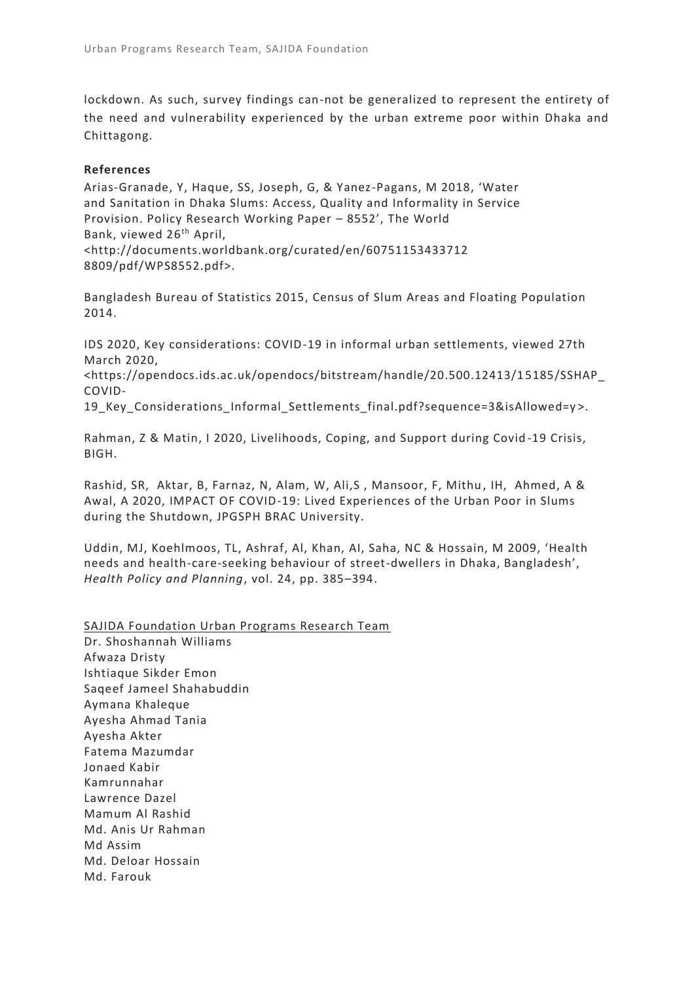lockdown. As such, survey findings can-not be generalized to represent the entirety of the need and vulnerability experienced by the urban extreme poor within Dhaka and Chittagong.

# **References**

Arias-Granade, Y, Haque, SS, Joseph, G, & Yanez-Pagans, M 2018, 'Water and Sanitation in Dhaka Slums: Access, Quality and Informality in Service Provision. Policy Research Working Paper – 8552', The World Bank, viewed 26<sup>th</sup> April, <http://documents.worldbank.org/curated/en/60751153433712 8809/pdf/WPS8552.pdf>.

Bangladesh Bureau of Statistics 2015, Census of Slum Areas and Floating Population 2014.

IDS 2020, Key considerations: COVID-19 in informal urban settlements, viewed 27th March 2020,

[<https://opendocs.ids.ac.uk/opendocs/bitstream/handle/20.500.12413/1](https://opendocs.ids.ac.uk/opendocs/bitstream/handle/20.500.12413/15185/SSHAP_COVID-19_Key_Considerations_Informal_Settlements_final.pdf?sequence=3&isAllowed=y) 5185/SSHAP\_ [COVID-](https://opendocs.ids.ac.uk/opendocs/bitstream/handle/20.500.12413/15185/SSHAP_COVID-19_Key_Considerations_Informal_Settlements_final.pdf?sequence=3&isAllowed=y)

[19\\_Key\\_Considerations\\_Informal\\_Settlements\\_final.pdf?sequence=3&isAllowed=y](https://opendocs.ids.ac.uk/opendocs/bitstream/handle/20.500.12413/15185/SSHAP_COVID-19_Key_Considerations_Informal_Settlements_final.pdf?sequence=3&isAllowed=y) >.

Rahman, Z & Matin, I 2020, Livelihoods, Coping, and Support during Covid -19 Crisis, BIGH.

Rashid, SR, Aktar, B, Farnaz, N, Alam, W, Ali,S, Mansoor, F, Mithu, IH, Ahmed, A & Awal, A 2020, IMPACT OF COVID-19: Lived Experiences of the Urban Poor in Slums during the Shutdown, JPGSPH BRAC University.

Uddin, MJ, Koehlmoos, TL, Ashraf, Al, Khan, AI, Saha, NC & Hossain, M 2009, 'Health needs and health-care-seeking behaviour of street-dwellers in Dhaka, Bangladesh', *Health Policy and Planning*, vol. 24, pp. 385–394.

SAJIDA Foundation Urban Programs Research Team

Dr. Shoshannah Williams Afwaza Dristy Ishtiaque Sikder Emon Saqeef Jameel Shahabuddin Aymana Khaleque Ayesha Ahmad Tania Ayesha Akter Fatema Mazumdar Jonaed Kabir Kamrunnahar Lawrence Dazel Mamum Al Rashid Md. Anis Ur Rahman Md Assim Md. Deloar Hossain Md. Farouk